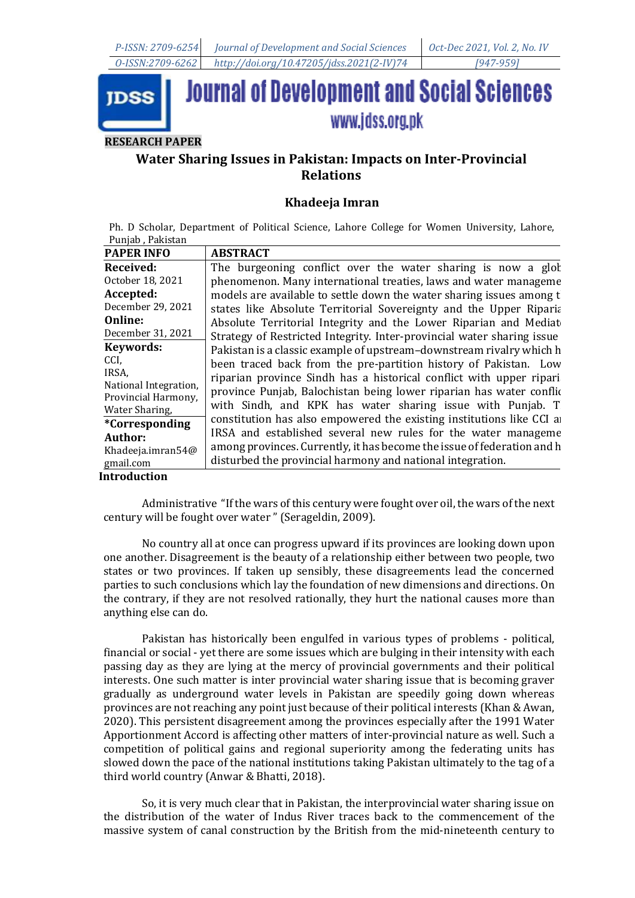

# **Water Sharing Issues in Pakistan: Impacts on Inter-Provincial Relations**

## **Khadeeja Imran**

Ph. D Scholar, Department of Political Science, Lahore College for Women University, Lahore, Punjab , Pakistan

| <b>PAPER INFO</b>     | <b>ABSTRACT</b>                                                         |
|-----------------------|-------------------------------------------------------------------------|
| Received:             | The burgeoning conflict over the water sharing is now a glot            |
| October 18, 2021      | phenomenon. Many international treaties, laws and water manageme        |
| Accepted:             | models are available to settle down the water sharing issues among t    |
| December 29, 2021     | states like Absolute Territorial Sovereignty and the Upper Riparia      |
| <b>Online:</b>        | Absolute Territorial Integrity and the Lower Riparian and Mediat        |
| December 31, 2021     | Strategy of Restricted Integrity. Inter-provincial water sharing issue  |
| <b>Keywords:</b>      | Pakistan is a classic example of upstream-downstream rivalry which h    |
| CCI.                  | been traced back from the pre-partition history of Pakistan. Low        |
| IRSA.                 | riparian province Sindh has a historical conflict with upper ripari     |
| National Integration, | province Punjab, Balochistan being lower riparian has water conflic     |
| Provincial Harmony,   | with Sindh, and KPK has water sharing issue with Punjab. T              |
| Water Sharing,        | constitution has also empowered the existing institutions like CCI and  |
| *Corresponding        | IRSA and established several new rules for the water manageme           |
| Author:               |                                                                         |
| Khadeeja.imran54@     | among provinces. Currently, it has become the issue of federation and h |
| gmail.com             | disturbed the provincial harmony and national integration.              |

## **Introduction**

Administrative "If the wars of this century were fought over oil, the wars of the next century will be fought over water " (Serageldin, 2009).

No country all at once can progress upward if its provinces are looking down upon one another. Disagreement is the beauty of a relationship either between two people, two states or two provinces. If taken up sensibly, these disagreements lead the concerned parties to such conclusions which lay the foundation of new dimensions and directions. On the contrary, if they are not resolved rationally, they hurt the national causes more than anything else can do.

Pakistan has historically been engulfed in various types of problems - political, financial or social - yet there are some issues which are bulging in their intensity with each passing day as they are lying at the mercy of provincial governments and their political interests. One such matter is inter provincial water sharing issue that is becoming graver gradually as underground water levels in Pakistan are speedily going down whereas provinces are not reaching any point just because of their political interests (Khan & Awan, 2020). This persistent disagreement among the provinces especially after the 1991 Water Apportionment Accord is affecting other matters of inter-provincial nature as well. Such a competition of political gains and regional superiority among the federating units has slowed down the pace of the national institutions taking Pakistan ultimately to the tag of a third world country (Anwar & Bhatti, 2018).

So, it is very much clear that in Pakistan, the interprovincial water sharing issue on the distribution of the water of Indus River traces back to the commencement of the massive system of canal construction by the British from the mid-nineteenth century to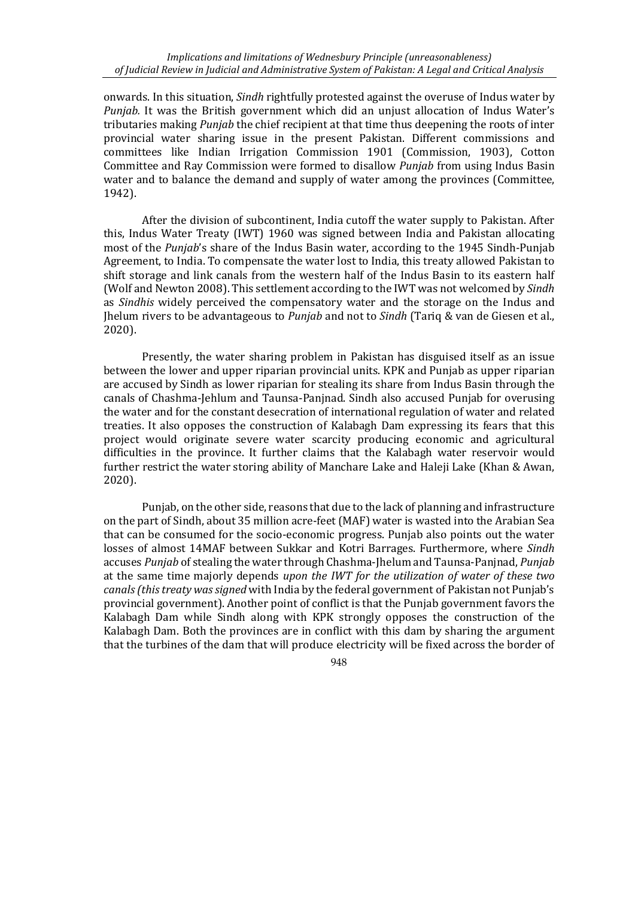onwards. In this situation, *Sindh* rightfully protested against the overuse of Indus water by *Punjab.* It was the British government which did an unjust allocation of Indus Water's tributaries making *Punjab* the chief recipient at that time thus deepening the roots of inter provincial water sharing issue in the present Pakistan. Different commissions and committees like Indian Irrigation Commission 1901 (Commission, 1903), Cotton Committee and Ray Commission were formed to disallow *Punjab* from using Indus Basin water and to balance the demand and supply of water among the provinces (Committee, 1942).

After the division of subcontinent, India cutoff the water supply to Pakistan. After this, Indus Water Treaty (IWT) 1960 was signed between India and Pakistan allocating most of the *Punjab*'s share of the Indus Basin water, according to the 1945 Sindh-Punjab Agreement, to India. To compensate the water lost to India, this treaty allowed Pakistan to shift storage and link canals from the western half of the Indus Basin to its eastern half (Wolf and Newton 2008). This settlement according to the IWT was not welcomed by *Sindh*  as *Sindhis* widely perceived the compensatory water and the storage on the Indus and Jhelum rivers to be advantageous to *Punjab* and not to *Sindh* (Tariq & van de Giesen et al., 2020).

Presently, the water sharing problem in Pakistan has disguised itself as an issue between the lower and upper riparian provincial units. KPK and Punjab as upper riparian are accused by Sindh as lower riparian for stealing its share from Indus Basin through the canals of Chashma-Jehlum and Taunsa-Panjnad. Sindh also accused Punjab for overusing the water and for the constant desecration of international regulation of water and related treaties. It also opposes the construction of Kalabagh Dam expressing its fears that this project would originate severe water scarcity producing economic and agricultural difficulties in the province. It further claims that the Kalabagh water reservoir would further restrict the water storing ability of Manchare Lake and Haleji Lake (Khan & Awan, 2020).

Punjab, on the other side, reasons that due to the lack of planning and infrastructure on the part of Sindh, about 35 million acre-feet (MAF) water is wasted into the Arabian Sea that can be consumed for the socio-economic progress. Punjab also points out the water losses of almost 14MAF between Sukkar and Kotri Barrages. Furthermore, where *Sindh* accuses *Punjab* of stealing the water through Chashma-Jhelum and Taunsa-Panjnad, *Punjab*  at the same time majorly depends *upon the IWT for the utilization of water of these two canals (this treaty was signed* with India by the federal government of Pakistan not Punjab's provincial government). Another point of conflict is that the Punjab government favors the Kalabagh Dam while Sindh along with KPK strongly opposes the construction of the Kalabagh Dam. Both the provinces are in conflict with this dam by sharing the argument that the turbines of the dam that will produce electricity will be fixed across the border of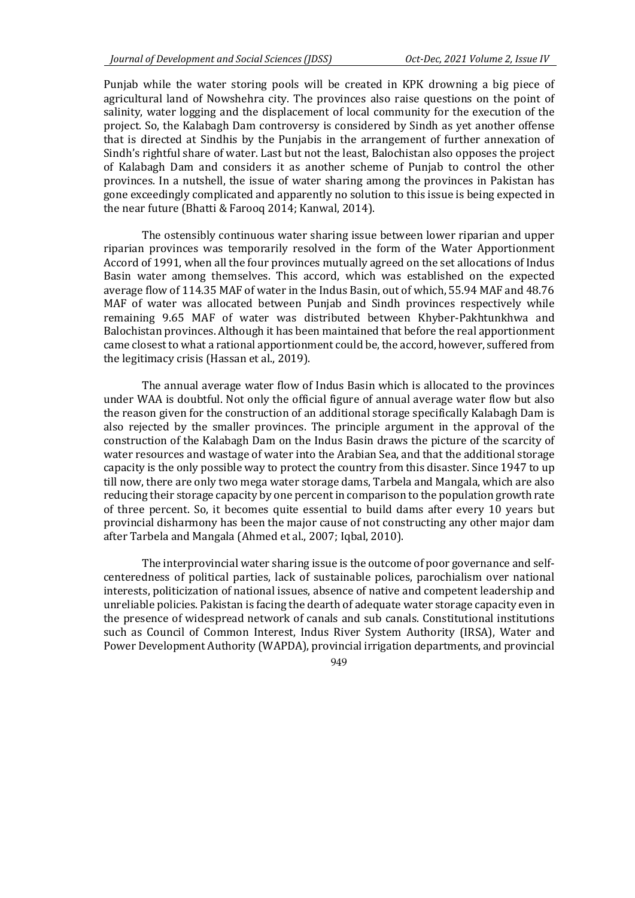Punjab while the water storing pools will be created in KPK drowning a big piece of agricultural land of Nowshehra city. The provinces also raise questions on the point of salinity, water logging and the displacement of local community for the execution of the project. So, the Kalabagh Dam controversy is considered by Sindh as yet another offense that is directed at Sindhis by the Punjabis in the arrangement of further annexation of Sindh's rightful share of water. Last but not the least, Balochistan also opposes the project of Kalabagh Dam and considers it as another scheme of Punjab to control the other provinces. In a nutshell, the issue of water sharing among the provinces in Pakistan has gone exceedingly complicated and apparently no solution to this issue is being expected in the near future (Bhatti & Farooq 2014; Kanwal, 2014).

The ostensibly continuous water sharing issue between lower riparian and upper riparian provinces was temporarily resolved in the form of the Water Apportionment Accord of 1991, when all the four provinces mutually agreed on the set allocations of Indus Basin water among themselves. This accord, which was established on the expected average flow of 114.35 MAF of water in the Indus Basin, out of which, 55.94 MAF and 48.76 MAF of water was allocated between Punjab and Sindh provinces respectively while remaining 9.65 MAF of water was distributed between Khyber-Pakhtunkhwa and Balochistan provinces. Although it has been maintained that before the real apportionment came closest to what a rational apportionment could be, the accord, however, suffered from the legitimacy crisis (Hassan et al., 2019).

The annual average water flow of Indus Basin which is allocated to the provinces under WAA is doubtful. Not only the official figure of annual average water flow but also the reason given for the construction of an additional storage specifically Kalabagh Dam is also rejected by the smaller provinces. The principle argument in the approval of the construction of the Kalabagh Dam on the Indus Basin draws the picture of the scarcity of water resources and wastage of water into the Arabian Sea, and that the additional storage capacity is the only possible way to protect the country from this disaster. Since 1947 to up till now, there are only two mega water storage dams, Tarbela and Mangala, which are also reducing their storage capacity by one percent in comparison to the population growth rate of three percent. So, it becomes quite essential to build dams after every 10 years but provincial disharmony has been the major cause of not constructing any other major dam after Tarbela and Mangala (Ahmed et al., 2007; Iqbal, 2010).

The interprovincial water sharing issue is the outcome of poor governance and selfcenteredness of political parties, lack of sustainable polices, parochialism over national interests, politicization of national issues, absence of native and competent leadership and unreliable policies. Pakistan is facing the dearth of adequate water storage capacity even in the presence of widespread network of canals and sub canals. Constitutional institutions such as Council of Common Interest, Indus River System Authority (IRSA), Water and Power Development Authority (WAPDA), provincial irrigation departments, and provincial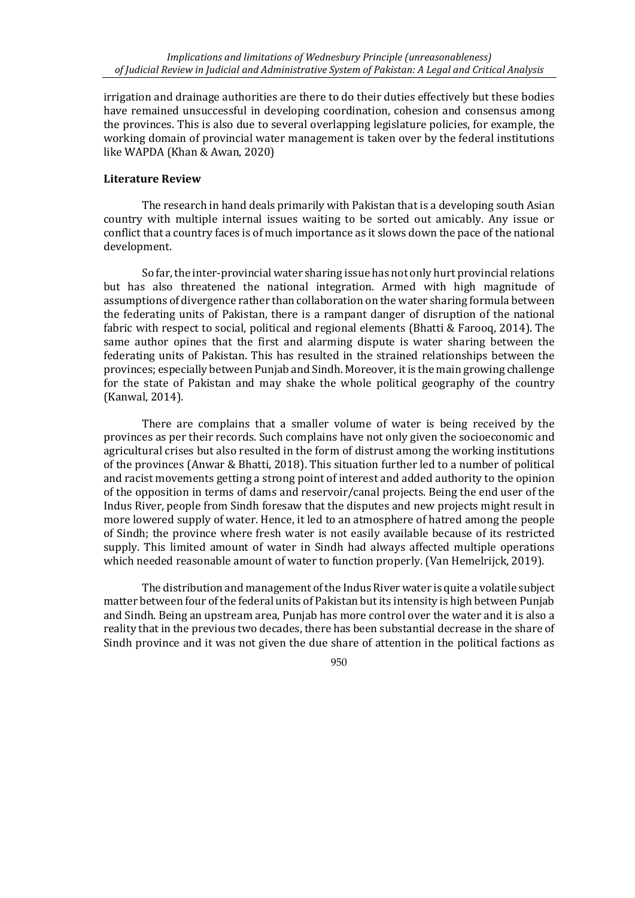irrigation and drainage authorities are there to do their duties effectively but these bodies have remained unsuccessful in developing coordination, cohesion and consensus among the provinces. This is also due to several overlapping legislature policies, for example, the working domain of provincial water management is taken over by the federal institutions like WAPDA (Khan & Awan, 2020)

## **Literature Review**

The research in hand deals primarily with Pakistan that is a developing south Asian country with multiple internal issues waiting to be sorted out amicably. Any issue or conflict that a country faces is of much importance as it slows down the pace of the national development.

So far, the inter-provincial water sharing issue has not only hurt provincial relations but has also threatened the national integration. Armed with high magnitude of assumptions of divergence rather than collaboration on the water sharing formula between the federating units of Pakistan, there is a rampant danger of disruption of the national fabric with respect to social, political and regional elements (Bhatti & Farooq, 2014). The same author opines that the first and alarming dispute is water sharing between the federating units of Pakistan. This has resulted in the strained relationships between the provinces; especially between Punjab and Sindh. Moreover, it is the main growing challenge for the state of Pakistan and may shake the whole political geography of the country (Kanwal, 2014).

There are complains that a smaller volume of water is being received by the provinces as per their records. Such complains have not only given the socioeconomic and agricultural crises but also resulted in the form of distrust among the working institutions of the provinces (Anwar & Bhatti, 2018). This situation further led to a number of political and racist movements getting a strong point of interest and added authority to the opinion of the opposition in terms of dams and reservoir/canal projects. Being the end user of the Indus River, people from Sindh foresaw that the disputes and new projects might result in more lowered supply of water. Hence, it led to an atmosphere of hatred among the people of Sindh; the province where fresh water is not easily available because of its restricted supply. This limited amount of water in Sindh had always affected multiple operations which needed reasonable amount of water to function properly. (Van Hemelrijck, 2019).

The distribution and management of the Indus River water is quite a volatile subject matter between four of the federal units of Pakistan but its intensity is high between Punjab and Sindh. Being an upstream area, Punjab has more control over the water and it is also a reality that in the previous two decades, there has been substantial decrease in the share of Sindh province and it was not given the due share of attention in the political factions as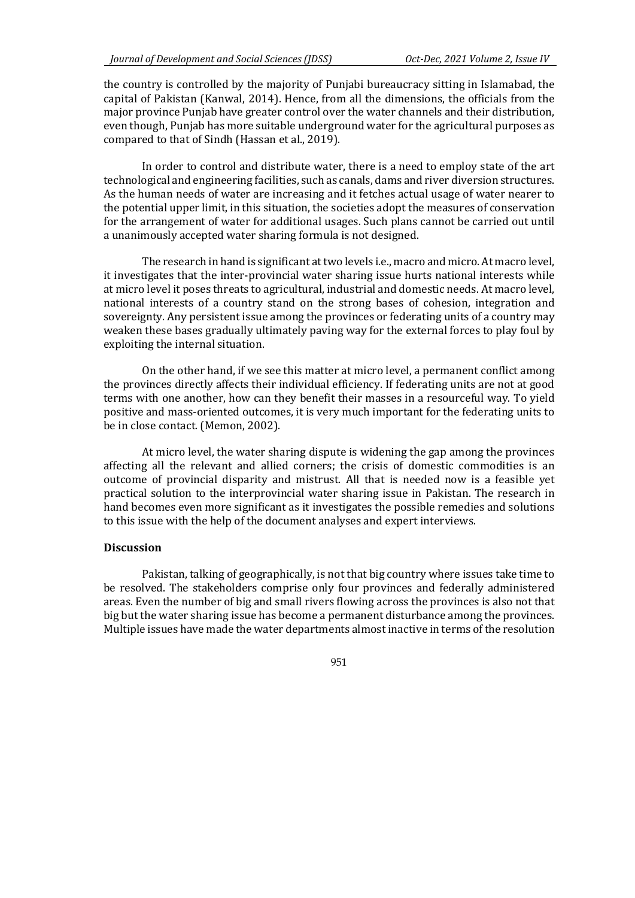the country is controlled by the majority of Punjabi bureaucracy sitting in Islamabad, the capital of Pakistan (Kanwal, 2014). Hence, from all the dimensions, the officials from the major province Punjab have greater control over the water channels and their distribution, even though, Punjab has more suitable underground water for the agricultural purposes as compared to that of Sindh (Hassan et al., 2019).

In order to control and distribute water, there is a need to employ state of the art technological and engineering facilities, such as canals, dams and river diversion structures. As the human needs of water are increasing and it fetches actual usage of water nearer to the potential upper limit, in this situation, the societies adopt the measures of conservation for the arrangement of water for additional usages. Such plans cannot be carried out until a unanimously accepted water sharing formula is not designed.

The research in hand is significant at two levels i.e., macro and micro. At macro level, it investigates that the inter-provincial water sharing issue hurts national interests while at micro level it poses threats to agricultural, industrial and domestic needs. At macro level, national interests of a country stand on the strong bases of cohesion, integration and sovereignty. Any persistent issue among the provinces or federating units of a country may weaken these bases gradually ultimately paving way for the external forces to play foul by exploiting the internal situation.

On the other hand, if we see this matter at micro level, a permanent conflict among the provinces directly affects their individual efficiency. If federating units are not at good terms with one another, how can they benefit their masses in a resourceful way. To yield positive and mass-oriented outcomes, it is very much important for the federating units to be in close contact. (Memon, 2002).

At micro level, the water sharing dispute is widening the gap among the provinces affecting all the relevant and allied corners; the crisis of domestic commodities is an outcome of provincial disparity and mistrust. All that is needed now is a feasible yet practical solution to the interprovincial water sharing issue in Pakistan. The research in hand becomes even more significant as it investigates the possible remedies and solutions to this issue with the help of the document analyses and expert interviews.

#### **Discussion**

Pakistan, talking of geographically, is not that big country where issues take time to be resolved. The stakeholders comprise only four provinces and federally administered areas. Even the number of big and small rivers flowing across the provinces is also not that big but the water sharing issue has become a permanent disturbance among the provinces. Multiple issues have made the water departments almost inactive in terms of the resolution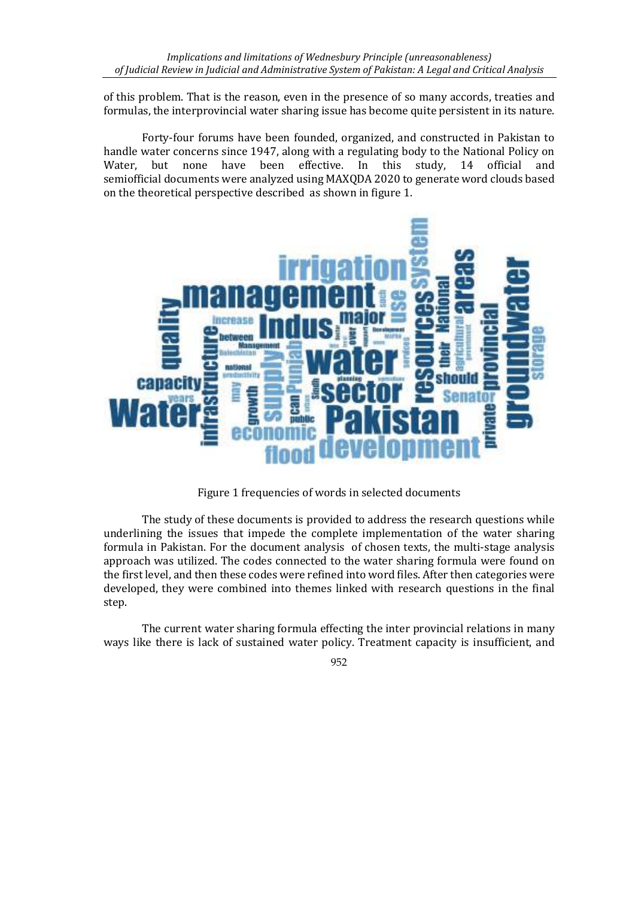of this problem. That is the reason, even in the presence of so many accords, treaties and formulas, the interprovincial water sharing issue has become quite persistent in its nature.

Forty-four forums have been founded, organized, and constructed in Pakistan to handle water concerns since 1947, along with a regulating body to the National Policy on Water, but none have been effective. In this study, 14 official and semiofficial documents were analyzed using MAXQDA 2020 to generate word clouds based on the theoretical perspective described as shown in figure 1.



Figure 1 frequencies of words in selected documents

The study of these documents is provided to address the research questions while underlining the issues that impede the complete implementation of the water sharing formula in Pakistan. For the document analysis of chosen texts, the multi-stage analysis approach was utilized. The codes connected to the water sharing formula were found on the first level, and then these codes were refined into word files. After then categories were developed, they were combined into themes linked with research questions in the final step.

The current water sharing formula effecting the inter provincial relations in many ways like there is lack of sustained water policy. Treatment capacity is insufficient, and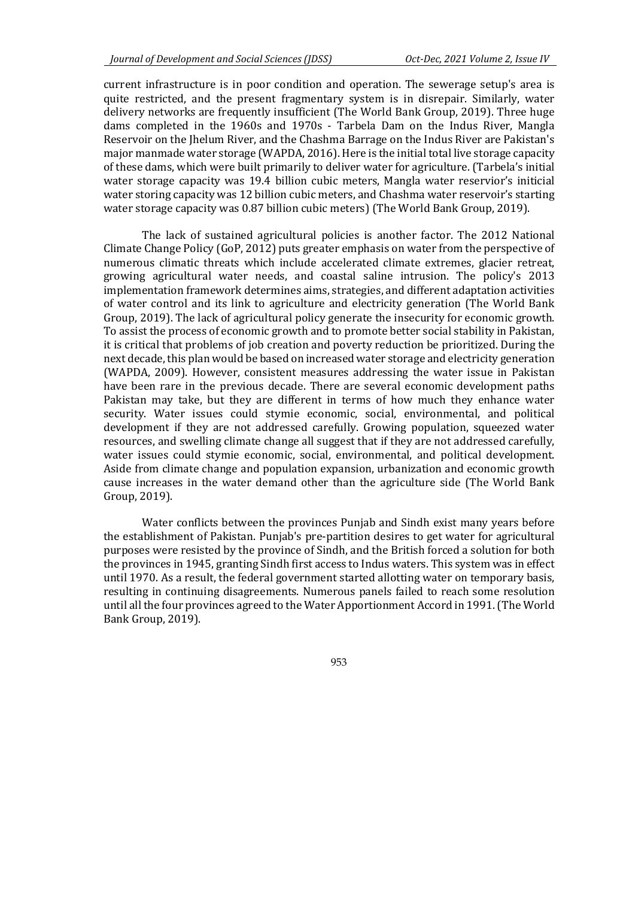current infrastructure is in poor condition and operation. The sewerage setup's area is quite restricted, and the present fragmentary system is in disrepair. Similarly, water delivery networks are frequently insufficient (The World Bank Group, 2019). Three huge dams completed in the 1960s and 1970s - Tarbela Dam on the Indus River, Mangla Reservoir on the Jhelum River, and the Chashma Barrage on the Indus River are Pakistan's major manmade water storage (WAPDA, 2016). Here is the initial total live storage capacity of these dams, which were built primarily to deliver water for agriculture. (Tarbela's initial water storage capacity was 19.4 billion cubic meters, Mangla water reservior's initicial water storing capacity was 12 billion cubic meters, and Chashma water reservoir's starting water storage capacity was 0.87 billion cubic meters) (The World Bank Group, 2019).

The lack of sustained agricultural policies is another factor. The 2012 National Climate Change Policy (GoP, 2012) puts greater emphasis on water from the perspective of numerous climatic threats which include accelerated climate extremes, glacier retreat, growing agricultural water needs, and coastal saline intrusion. The policy's 2013 implementation framework determines aims, strategies, and different adaptation activities of water control and its link to agriculture and electricity generation (The World Bank Group, 2019). The lack of agricultural policy generate the insecurity for economic growth. To assist the process of economic growth and to promote better social stability in Pakistan, it is critical that problems of job creation and poverty reduction be prioritized. During the next decade, this plan would be based on increased water storage and electricity generation (WAPDA, 2009). However, consistent measures addressing the water issue in Pakistan have been rare in the previous decade. There are several economic development paths Pakistan may take, but they are different in terms of how much they enhance water security. Water issues could stymie economic, social, environmental, and political development if they are not addressed carefully. Growing population, squeezed water resources, and swelling climate change all suggest that if they are not addressed carefully, water issues could stymie economic, social, environmental, and political development. Aside from climate change and population expansion, urbanization and economic growth cause increases in the water demand other than the agriculture side (The World Bank Group, 2019).

Water conflicts between the provinces Punjab and Sindh exist many years before the establishment of Pakistan. Punjab's pre-partition desires to get water for agricultural purposes were resisted by the province of Sindh, and the British forced a solution for both the provinces in 1945, granting Sindh first access to Indus waters. This system was in effect until 1970. As a result, the federal government started allotting water on temporary basis, resulting in continuing disagreements. Numerous panels failed to reach some resolution until all the four provinces agreed to the Water Apportionment Accord in 1991. (The World Bank Group, 2019).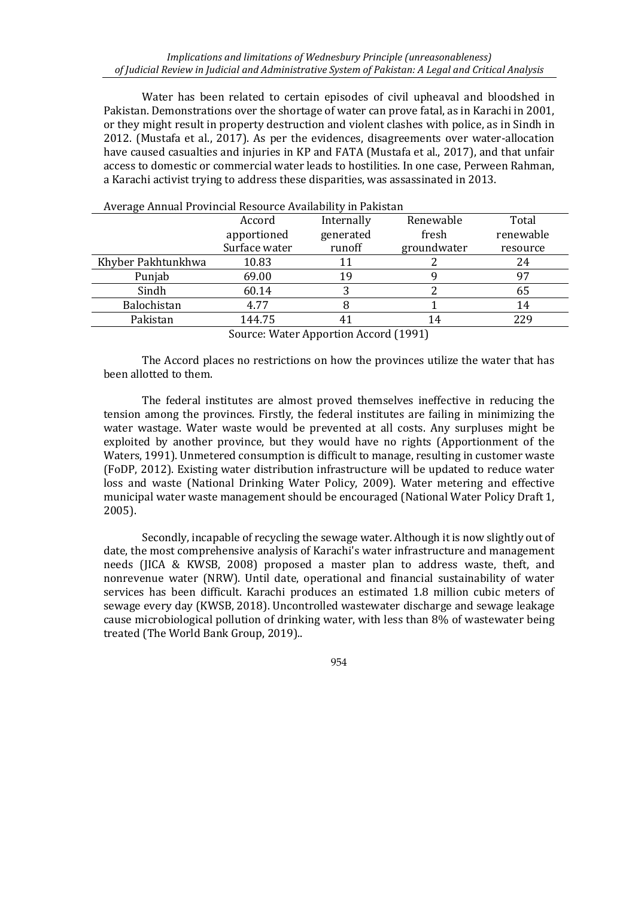Water has been related to certain episodes of civil upheaval and bloodshed in Pakistan. Demonstrations over the shortage of water can prove fatal, as in Karachi in 2001, or they might result in property destruction and violent clashes with police, as in Sindh in 2012. (Mustafa et al., 2017). As per the evidences, disagreements over water-allocation have caused casualties and injuries in KP and FATA (Mustafa et al., 2017), and that unfair access to domestic or commercial water leads to hostilities. In one case, Perween Rahman, a Karachi activist trying to address these disparities, was assassinated in 2013.

| Average Annual Provincial Resource Availability in Pakistan |               |            |             |           |  |  |
|-------------------------------------------------------------|---------------|------------|-------------|-----------|--|--|
|                                                             | Accord        | Internally | Renewable   | Total     |  |  |
|                                                             | apportioned   | generated  | fresh       | renewable |  |  |
|                                                             | Surface water | runoff     | groundwater | resource  |  |  |
| Khyber Pakhtunkhwa                                          | 10.83         |            |             | 24        |  |  |
| Punjab                                                      | 69.00         | 19         |             | 97        |  |  |
| Sindh                                                       | 60.14         |            |             | 65        |  |  |
| Balochistan                                                 | 4.77          |            |             | 14        |  |  |
| Pakistan                                                    | 144.75        |            | 14          | 229       |  |  |
|                                                             |               |            |             |           |  |  |

Average Annual Provincial Resource Availability in Pakistan

Source: Water Apportion Accord (1991)

The Accord places no restrictions on how the provinces utilize the water that has been allotted to them.

The federal institutes are almost proved themselves ineffective in reducing the tension among the provinces. Firstly, the federal institutes are failing in minimizing the water wastage. Water waste would be prevented at all costs. Any surpluses might be exploited by another province, but they would have no rights (Apportionment of the Waters, 1991). Unmetered consumption is difficult to manage, resulting in customer waste (FoDP, 2012). Existing water distribution infrastructure will be updated to reduce water loss and waste (National Drinking Water Policy, 2009). Water metering and effective municipal water waste management should be encouraged (National Water Policy Draft 1, 2005).

Secondly, incapable of recycling the sewage water. Although it is now slightly out of date, the most comprehensive analysis of Karachi's water infrastructure and management needs (JICA & KWSB, 2008) proposed a master plan to address waste, theft, and nonrevenue water (NRW). Until date, operational and financial sustainability of water services has been difficult. Karachi produces an estimated 1.8 million cubic meters of sewage every day (KWSB, 2018). Uncontrolled wastewater discharge and sewage leakage cause microbiological pollution of drinking water, with less than 8% of wastewater being treated (The World Bank Group, 2019)..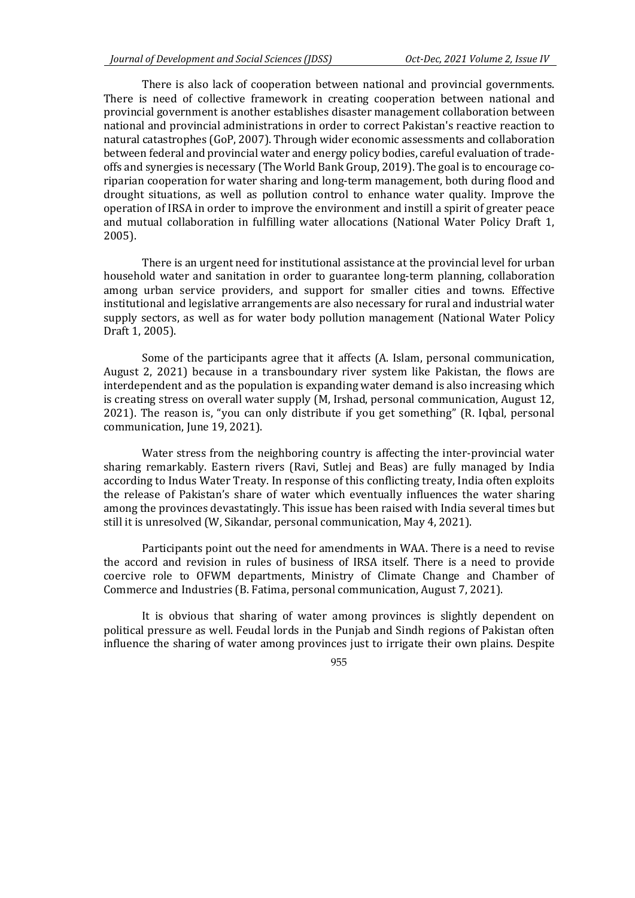There is also lack of cooperation between national and provincial governments. There is need of collective framework in creating cooperation between national and provincial government is another establishes disaster management collaboration between national and provincial administrations in order to correct Pakistan's reactive reaction to natural catastrophes (GoP, 2007). Through wider economic assessments and collaboration between federal and provincial water and energy policy bodies, careful evaluation of tradeoffs and synergies is necessary (The World Bank Group, 2019). The goal is to encourage coriparian cooperation for water sharing and long-term management, both during flood and drought situations, as well as pollution control to enhance water quality. Improve the operation of IRSA in order to improve the environment and instill a spirit of greater peace and mutual collaboration in fulfilling water allocations (National Water Policy Draft 1, 2005).

There is an urgent need for institutional assistance at the provincial level for urban household water and sanitation in order to guarantee long-term planning, collaboration among urban service providers, and support for smaller cities and towns. Effective institutional and legislative arrangements are also necessary for rural and industrial water supply sectors, as well as for water body pollution management (National Water Policy Draft 1, 2005).

Some of the participants agree that it affects (A. Islam, personal communication, August 2, 2021) because in a transboundary river system like Pakistan, the flows are interdependent and as the population is expanding water demand is also increasing which is creating stress on overall water supply (M, Irshad, personal communication, August 12, 2021). The reason is, "you can only distribute if you get something" (R. Iqbal, personal communication, June 19, 2021).

Water stress from the neighboring country is affecting the inter-provincial water sharing remarkably. Eastern rivers (Ravi, Sutlej and Beas) are fully managed by India according to Indus Water Treaty. In response of this conflicting treaty, India often exploits the release of Pakistan's share of water which eventually influences the water sharing among the provinces devastatingly. This issue has been raised with India several times but still it is unresolved (W, Sikandar, personal communication, May 4, 2021).

Participants point out the need for amendments in WAA. There is a need to revise the accord and revision in rules of business of IRSA itself. There is a need to provide coercive role to OFWM departments, Ministry of Climate Change and Chamber of Commerce and Industries (B. Fatima, personal communication, August 7, 2021).

It is obvious that sharing of water among provinces is slightly dependent on political pressure as well. Feudal lords in the Punjab and Sindh regions of Pakistan often influence the sharing of water among provinces just to irrigate their own plains. Despite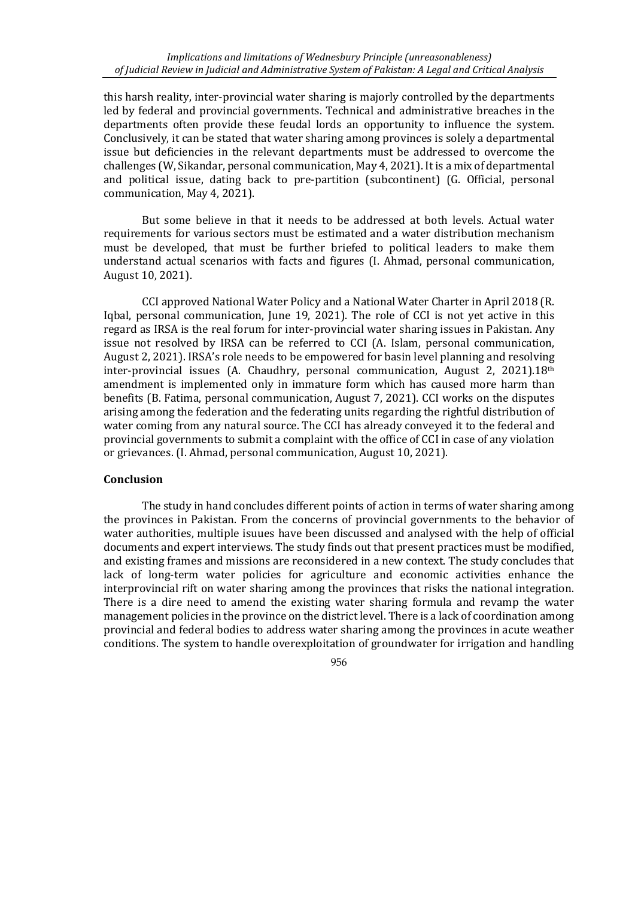this harsh reality, inter-provincial water sharing is majorly controlled by the departments led by federal and provincial governments. Technical and administrative breaches in the departments often provide these feudal lords an opportunity to influence the system. Conclusively, it can be stated that water sharing among provinces is solely a departmental issue but deficiencies in the relevant departments must be addressed to overcome the challenges (W, Sikandar, personal communication, May 4, 2021). It is a mix of departmental and political issue, dating back to pre-partition (subcontinent) (G. Official, personal communication, May 4, 2021).

But some believe in that it needs to be addressed at both levels. Actual water requirements for various sectors must be estimated and a water distribution mechanism must be developed, that must be further briefed to political leaders to make them understand actual scenarios with facts and figures (I. Ahmad, personal communication, August 10, 2021).

CCI approved National Water Policy and a National Water Charter in April 2018 (R. Iqbal, personal communication, June 19, 2021). The role of CCI is not yet active in this regard as IRSA is the real forum for inter-provincial water sharing issues in Pakistan. Any issue not resolved by IRSA can be referred to CCI (A. Islam, personal communication, August 2, 2021). IRSA's role needs to be empowered for basin level planning and resolving inter-provincial issues (A. Chaudhry, personal communication, August 2, 2021).18th amendment is implemented only in immature form which has caused more harm than benefits (B. Fatima, personal communication, August 7, 2021). CCI works on the disputes arising among the federation and the federating units regarding the rightful distribution of water coming from any natural source. The CCI has already conveyed it to the federal and provincial governments to submit a complaint with the office of CCI in case of any violation or grievances. (I. Ahmad, personal communication, August 10, 2021).

## **Conclusion**

The study in hand concludes different points of action in terms of water sharing among the provinces in Pakistan. From the concerns of provincial governments to the behavior of water authorities, multiple isuues have been discussed and analysed with the help of official documents and expert interviews. The study finds out that present practices must be modified, and existing frames and missions are reconsidered in a new context. The study concludes that lack of long-term water policies for agriculture and economic activities enhance the interprovincial rift on water sharing among the provinces that risks the national integration. There is a dire need to amend the existing water sharing formula and revamp the water management policies in the province on the district level. There is a lack of coordination among provincial and federal bodies to address water sharing among the provinces in acute weather conditions. The system to handle overexploitation of groundwater for irrigation and handling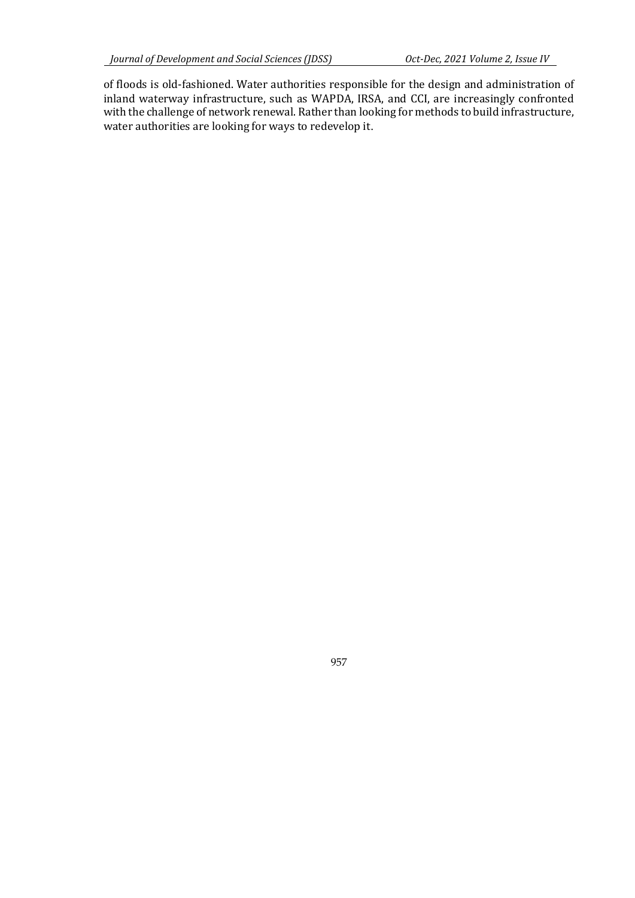of floods is old-fashioned. Water authorities responsible for the design and administration of inland waterway infrastructure, such as WAPDA, IRSA, and CCI, are increasingly confronted with the challenge of network renewal. Rather than looking for methods to build infrastructure, water authorities are looking for ways to redevelop it.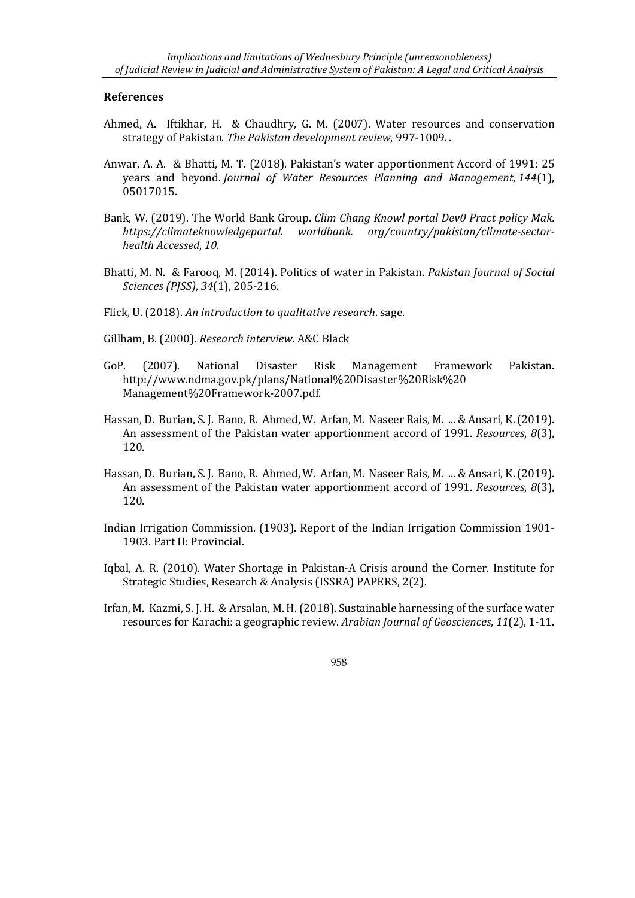## **References**

- Ahmed, A. Iftikhar, H. & Chaudhry, G. M. (2007). Water resources and conservation strategy of Pakistan. *The Pakistan development review*, 997-1009. .
- Anwar, A. A. & Bhatti, M. T. (2018). Pakistan's water apportionment Accord of 1991: 25 years and beyond. *Journal of Water Resources Planning and Management*, *144*(1), 05017015.
- Bank, W. (2019). The World Bank Group. *Clim Chang Knowl portal Dev0 Pract policy Mak. https://climateknowledgeportal. worldbank. org/country/pakistan/climate-sectorhealth Accessed*, *10*.
- Bhatti, M. N. & Farooq, M. (2014). Politics of water in Pakistan. *Pakistan Journal of Social Sciences (PJSS)*, *34*(1), 205-216.

Flick, U. (2018). *An introduction to qualitative research*. sage.

- Gillham, B. (2000). *Research interview*. A&C Black
- GoP. (2007). National Disaster Risk Management Framework Pakistan. http://www.ndma.gov.pk/plans/National%20Disaster%20Risk%20 Management%20Framework-2007.pdf.
- Hassan, D. Burian, S. J. Bano, R. Ahmed, W. Arfan, M. Naseer Rais, M. ... & Ansari, K. (2019). An assessment of the Pakistan water apportionment accord of 1991. *Resources*, *8*(3), 120.
- Hassan, D. Burian, S. J. Bano, R. Ahmed, W. Arfan, M. Naseer Rais, M. ... & Ansari, K. (2019). An assessment of the Pakistan water apportionment accord of 1991. *Resources*, *8*(3), 120.
- Indian Irrigation Commission. (1903). Report of the Indian Irrigation Commission 1901- 1903. Part II: Provincial.
- Iqbal, A. R. (2010). Water Shortage in Pakistan-A Crisis around the Corner. Institute for Strategic Studies, Research & Analysis (ISSRA) PAPERS, 2(2).
- Irfan, M. Kazmi, S. J. H. & Arsalan, M. H. (2018). Sustainable harnessing of the surface water resources for Karachi: a geographic review. *Arabian Journal of Geosciences*, *11*(2), 1-11.